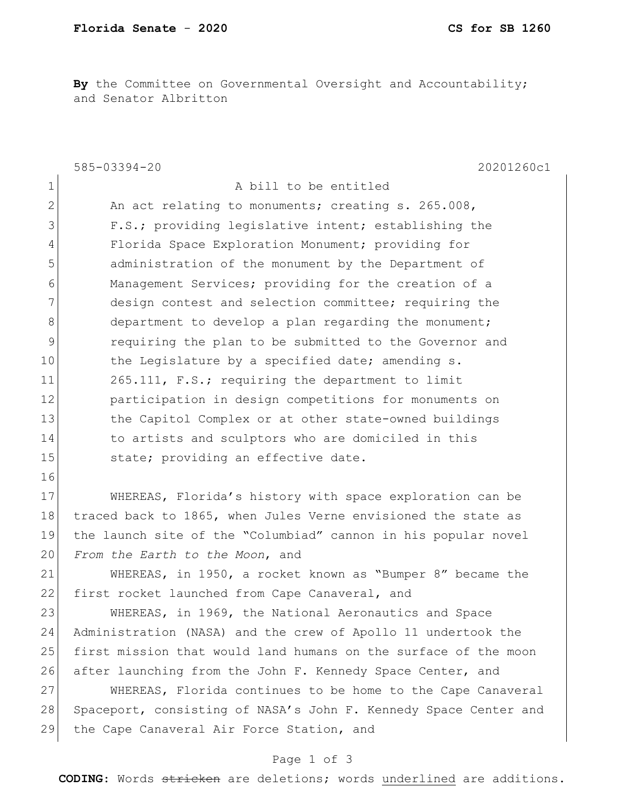By the Committee on Governmental Oversight and Accountability; and Senator Albritton

|              | 20201260c1<br>585-03394-20                                       |
|--------------|------------------------------------------------------------------|
| $\mathbf 1$  | A bill to be entitled                                            |
| $\mathbf{2}$ | An act relating to monuments; creating s. 265.008,               |
| 3            | F.S.; providing legislative intent; establishing the             |
| 4            | Florida Space Exploration Monument; providing for                |
| 5            | administration of the monument by the Department of              |
| 6            | Management Services; providing for the creation of a             |
| 7            | design contest and selection committee; requiring the            |
| 8            | department to develop a plan regarding the monument;             |
| 9            | requiring the plan to be submitted to the Governor and           |
| 10           | the Legislature by a specified date; amending s.                 |
| 11           | 265.111, F.S.; requiring the department to limit                 |
| 12           | participation in design competitions for monuments on            |
| 13           | the Capitol Complex or at other state-owned buildings            |
| 14           | to artists and sculptors who are domiciled in this               |
| 15           | state; providing an effective date.                              |
| 16           |                                                                  |
| 17           | WHEREAS, Florida's history with space exploration can be         |
| 18           | traced back to 1865, when Jules Verne envisioned the state as    |
| 19           | the launch site of the "Columbiad" cannon in his popular novel   |
| 20           | From the Earth to the Moon, and                                  |
| 21           | WHEREAS, in 1950, a rocket known as "Bumper 8" became the        |
| 22           | first rocket launched from Cape Canaveral, and                   |
| 23           | WHEREAS, in 1969, the National Aeronautics and Space             |
| 24           | Administration (NASA) and the crew of Apollo 11 undertook the    |
| 25           | first mission that would land humans on the surface of the moon  |
| 26           | after launching from the John F. Kennedy Space Center, and       |
| 27           | WHEREAS, Florida continues to be home to the Cape Canaveral      |
| 28           | Spaceport, consisting of NASA's John F. Kennedy Space Center and |
| 29           | the Cape Canaveral Air Force Station, and                        |
|              | Page 1 of 3                                                      |

**CODING**: Words stricken are deletions; words underlined are additions.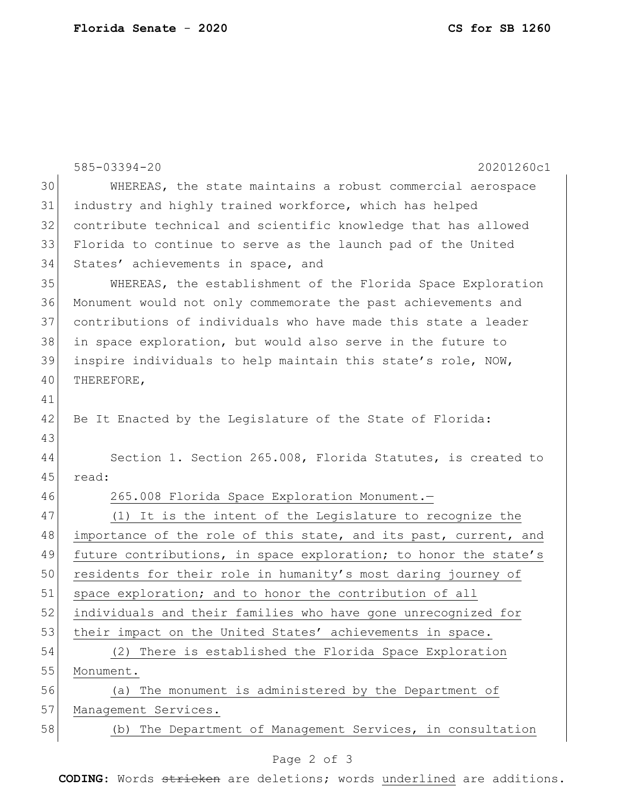|    | $585 - 03394 - 20$<br>20201260c1                                 |
|----|------------------------------------------------------------------|
| 30 | WHEREAS, the state maintains a robust commercial aerospace       |
| 31 | industry and highly trained workforce, which has helped          |
| 32 | contribute technical and scientific knowledge that has allowed   |
| 33 | Florida to continue to serve as the launch pad of the United     |
| 34 | States' achievements in space, and                               |
| 35 | WHEREAS, the establishment of the Florida Space Exploration      |
| 36 | Monument would not only commemorate the past achievements and    |
| 37 | contributions of individuals who have made this state a leader   |
| 38 | in space exploration, but would also serve in the future to      |
| 39 | inspire individuals to help maintain this state's role, NOW,     |
| 40 | THEREFORE,                                                       |
| 41 |                                                                  |
| 42 | Be It Enacted by the Legislature of the State of Florida:        |
| 43 |                                                                  |
| 44 | Section 1. Section 265.008, Florida Statutes, is created to      |
| 45 | read:                                                            |
| 46 | 265.008 Florida Space Exploration Monument.-                     |
| 47 | (1) It is the intent of the Legislature to recognize the         |
| 48 | importance of the role of this state, and its past, current, and |
| 49 | future contributions, in space exploration; to honor the state's |
| 50 | residents for their role in humanity's most daring journey of    |
| 51 | space exploration; and to honor the contribution of all          |
| 52 | individuals and their families who have gone unrecognized for    |
| 53 | their impact on the United States' achievements in space.        |
| 54 | (2) There is established the Florida Space Exploration           |
| 55 | Monument.                                                        |
| 56 | The monument is administered by the Department of<br>(a)         |
| 57 | Management Services.                                             |
| 58 | (b) The Department of Management Services, in consultation       |
|    | Page 2 of 3                                                      |

**CODING**: Words stricken are deletions; words underlined are additions.